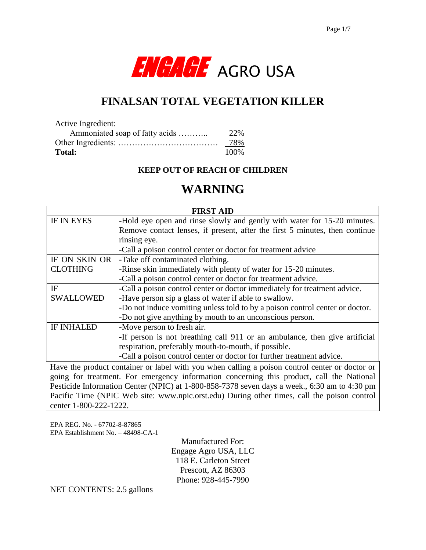

# **FINALSAN TOTAL VEGETATION KILLER**

| Active Ingredient:             |      |
|--------------------------------|------|
| Ammoniated soap of fatty acids | 22%  |
|                                | 78%  |
| Total:                         | 100% |

#### **KEEP OUT OF REACH OF CHILDREN**

# **WARNING**

| <b>FIRST AID</b>                                                                               |                                                                              |  |  |  |
|------------------------------------------------------------------------------------------------|------------------------------------------------------------------------------|--|--|--|
| <b>IF IN EYES</b>                                                                              | -Hold eye open and rinse slowly and gently with water for 15-20 minutes.     |  |  |  |
|                                                                                                | Remove contact lenses, if present, after the first 5 minutes, then continue  |  |  |  |
|                                                                                                | rinsing eye.                                                                 |  |  |  |
|                                                                                                | -Call a poison control center or doctor for treatment advice                 |  |  |  |
| IF ON SKIN OR                                                                                  | -Take off contaminated clothing.                                             |  |  |  |
| <b>CLOTHING</b>                                                                                | -Rinse skin immediately with plenty of water for 15-20 minutes.              |  |  |  |
|                                                                                                | -Call a poison control center or doctor for treatment advice.                |  |  |  |
| IF                                                                                             | -Call a poison control center or doctor immediately for treatment advice.    |  |  |  |
| <b>SWALLOWED</b>                                                                               | -Have person sip a glass of water if able to swallow.                        |  |  |  |
|                                                                                                | -Do not induce vomiting unless told to by a poison control center or doctor. |  |  |  |
|                                                                                                | -Do not give anything by mouth to an unconscious person.                     |  |  |  |
| <b>IF INHALED</b>                                                                              | -Move person to fresh air.                                                   |  |  |  |
|                                                                                                | -If person is not breathing call 911 or an ambulance, then give artificial   |  |  |  |
|                                                                                                | respiration, preferably mouth-to-mouth, if possible.                         |  |  |  |
|                                                                                                | -Call a poison control center or doctor for further treatment advice.        |  |  |  |
| Have the product container or label with you when calling a poison control center or doctor or |                                                                              |  |  |  |
| going for treatment. For emergency information concerning this product, call the National      |                                                                              |  |  |  |
| Pesticide Information Center (NPIC) at 1-800-858-7378 seven days a week., 6:30 am to 4:30 pm   |                                                                              |  |  |  |
| Pacific Time (NPIC Web site: www.npic.orst.edu) During other times, call the poison control    |                                                                              |  |  |  |
| center 1-800-222-1222.                                                                         |                                                                              |  |  |  |

EPA REG. No. - 67702-8-87865 EPA Establishment No. – 48498-CA-1

> Manufactured For: Engage Agro USA, LLC 118 E. Carleton Street Prescott, AZ 86303 Phone: 928-445-7990

NET CONTENTS: 2.5 gallons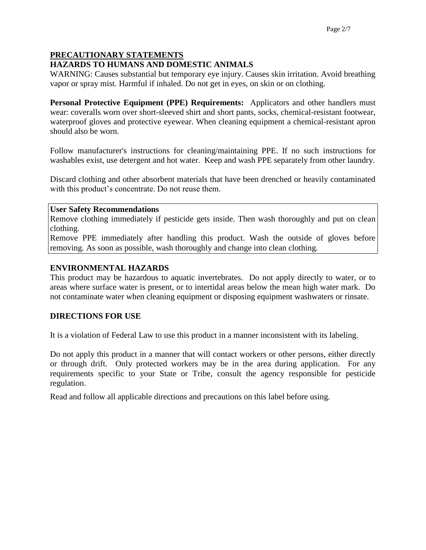## **PRECAUTIONARY STATEMENTS**

### **HAZARDS TO HUMANS AND DOMESTIC ANIMALS**

WARNING: Causes substantial but temporary eye injury. Causes skin irritation. Avoid breathing vapor or spray mist. Harmful if inhaled. Do not get in eyes, on skin or on clothing.

**Personal Protective Equipment (PPE) Requirements:** Applicators and other handlers must wear: coveralls worn over short-sleeved shirt and short pants, socks, chemical-resistant footwear, waterproof gloves and protective eyewear. When cleaning equipment a chemical-resistant apron should also be worn.

Follow manufacturer's instructions for cleaning/maintaining PPE. If no such instructions for washables exist, use detergent and hot water. Keep and wash PPE separately from other laundry.

Discard clothing and other absorbent materials that have been drenched or heavily contaminated with this product's concentrate. Do not reuse them.

#### **User Safety Recommendations**

Remove clothing immediately if pesticide gets inside. Then wash thoroughly and put on clean clothing.

Remove PPE immediately after handling this product. Wash the outside of gloves before removing. As soon as possible, wash thoroughly and change into clean clothing.

#### **ENVIRONMENTAL HAZARDS**

This product may be hazardous to aquatic invertebrates. Do not apply directly to water, or to areas where surface water is present, or to intertidal areas below the mean high water mark. Do not contaminate water when cleaning equipment or disposing equipment washwaters or rinsate.

#### **DIRECTIONS FOR USE**

It is a violation of Federal Law to use this product in a manner inconsistent with its labeling.

Do not apply this product in a manner that will contact workers or other persons, either directly or through drift. Only protected workers may be in the area during application. For any requirements specific to your State or Tribe, consult the agency responsible for pesticide regulation.

Read and follow all applicable directions and precautions on this label before using.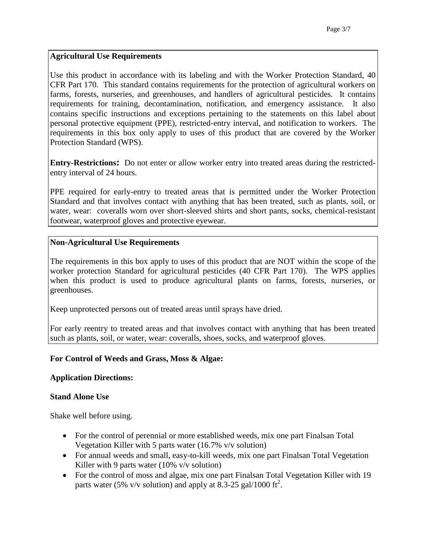## **Agricultural Use Requirements**

Use this product in accordance with its labeling and with the Worker Protection Standard, 40 CFR Part 170. This standard contains requirements for the protection of agricultural workers on farms, forests, nurseries, and greenhouses, and handlers of agricultural pesticides. It contains requirements for training, decontamination, notification, and emergency assistance. It also contains specific instructions and exceptions pertaining to the statements on this label about personal protective equipment (PPE), restricted-entry interval, and notification to workers. The requirements in this box only apply to uses of this product that are covered by the Worker Protection Standard (WPS).

**Entry-Restrictions:** Do not enter or allow worker entry into treated areas during the restrictedentry interval of 24 hours.

PPE required for early-entry to treated areas that is permitted under the Worker Protection Standard and that involves contact with anything that has been treated, such as plants, soil, or water, wear: coveralls worn over short-sleeved shirts and short pants, socks, chemical-resistant footwear, waterproof gloves and protective eyewear.

## **Non-Agricultural Use Requirements**

The requirements in this box apply to uses of this product that are NOT within the scope of the worker protection Standard for agricultural pesticides (40 CFR Part 170). The WPS applies when this product is used to produce agricultural plants on farms, forests, nurseries, or greenhouses.

Keep unprotected persons out of treated areas until sprays have dried.

For early reentry to treated areas and that involves contact with anything that has been treated such as plants, soil, or water, wear: coveralls, shoes, socks, and waterproof gloves.

## **For Control of Weeds and Grass, Moss & Algae:**

#### **Application Directions:**

#### **Stand Alone Use**

Shake well before using.

- For the control of perennial or more established weeds, mix one part Finalsan Total Vegetation Killer with 5 parts water (16.7% v/v solution)
- For annual weeds and small, easy-to-kill weeds, mix one part Finalsan Total Vegetation Killer with 9 parts water (10% v/v solution)
- For the control of moss and algae, mix one part Finalsan Total Vegetation Killer with 19 parts water (5% v/v solution) and apply at 8.3-25 gal/1000 ft<sup>2</sup>.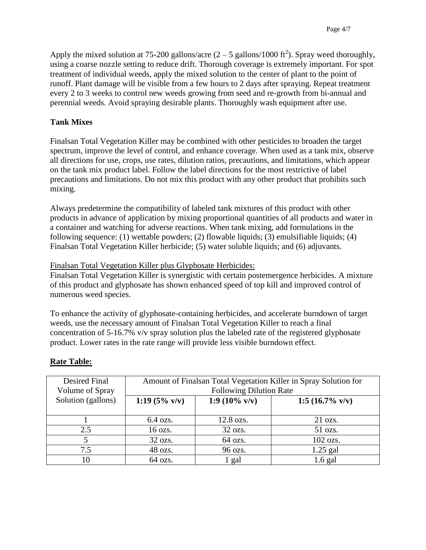Apply the mixed solution at 75-200 gallons/acre  $(2-5 \text{ gallons}/1000 \text{ ft}^2)$ . Spray weed thoroughly, using a coarse nozzle setting to reduce drift. Thorough coverage is extremely important. For spot treatment of individual weeds, apply the mixed solution to the center of plant to the point of runoff. Plant damage will be visible from a few hours to 2 days after spraying. Repeat treatment every 2 to 3 weeks to control new weeds growing from seed and re-growth from bi-annual and perennial weeds. Avoid spraying desirable plants. Thoroughly wash equipment after use.

## **Tank Mixes**

Finalsan Total Vegetation Killer may be combined with other pesticides to broaden the target spectrum, improve the level of control, and enhance coverage. When used as a tank mix, observe all directions for use, crops, use rates, dilution ratios, precautions, and limitations, which appear on the tank mix product label. Follow the label directions for the most restrictive of label precautions and limitations. Do not mix this product with any other product that prohibits such mixing.

Always predetermine the compatibility of labeled tank mixtures of this product with other products in advance of application by mixing proportional quantities of all products and water in a container and watching for adverse reactions. When tank mixing, add formulations in the following sequence: (1) wettable powders; (2) flowable liquids; (3) emulsifiable liquids; (4) Finalsan Total Vegetation Killer herbicide; (5) water soluble liquids; and (6) adjuvants.

Finalsan Total Vegetation Killer plus Glyphosate Herbicides:

Finalsan Total Vegetation Killer is synergistic with certain postemergence herbicides. A mixture of this product and glyphosate has shown enhanced speed of top kill and improved control of numerous weed species.

To enhance the activity of glyphosate-containing herbicides, and accelerate burndown of target weeds, use the necessary amount of Finalsan Total Vegetation Killer to reach a final concentration of 5-16.7% v/v spray solution plus the labeled rate of the registered glyphosate product. Lower rates in the rate range will provide less visible burndown effect.

| Desired Final<br>Volume of Spray | Amount of Finalsan Total Vegetation Killer in Spray Solution for<br><b>Following Dilution Rate</b> |                  |                            |
|----------------------------------|----------------------------------------------------------------------------------------------------|------------------|----------------------------|
| Solution (gallons)               | 1:19 $(5\% \text{ v/v})$                                                                           | 1:9 (10% $v/v$ ) | 1:5 $(16.7\% \text{ v/v})$ |
|                                  | $6.4 \text{ ozs.}$                                                                                 | 12.8 ozs.        | $21 \text{ ozs.}$          |
| 2.5                              | 16 ozs.                                                                                            | 32 ozs.          | 51 ozs.                    |
| 5                                | 32 ozs.                                                                                            | 64 ozs.          | 102 ozs.                   |
| 7.5                              | 48 ozs.                                                                                            | 96 ozs.          | $1.25$ gal                 |
| 10                               | 64 ozs.                                                                                            | 1 gal            | $1.6$ gal                  |

## **Rate Table:**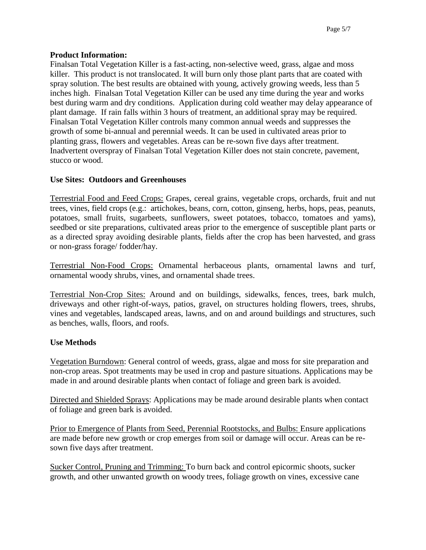#### **Product Information:**

Finalsan Total Vegetation Killer is a fast-acting, non-selective weed, grass, algae and moss killer. This product is not translocated. It will burn only those plant parts that are coated with spray solution. The best results are obtained with young, actively growing weeds, less than 5 inches high. Finalsan Total Vegetation Killer can be used any time during the year and works best during warm and dry conditions. Application during cold weather may delay appearance of plant damage. If rain falls within 3 hours of treatment, an additional spray may be required. Finalsan Total Vegetation Killer controls many common annual weeds and suppresses the growth of some bi-annual and perennial weeds. It can be used in cultivated areas prior to planting grass, flowers and vegetables. Areas can be re-sown five days after treatment. Inadvertent overspray of Finalsan Total Vegetation Killer does not stain concrete, pavement, stucco or wood.

#### **Use Sites: Outdoors and Greenhouses**

Terrestrial Food and Feed Crops: Grapes, cereal grains, vegetable crops, orchards, fruit and nut trees, vines, field crops (e.g.: artichokes, beans, corn, cotton, ginseng, herbs, hops, peas, peanuts, potatoes, small fruits, sugarbeets, sunflowers, sweet potatoes, tobacco, tomatoes and yams), seedbed or site preparations, cultivated areas prior to the emergence of susceptible plant parts or as a directed spray avoiding desirable plants, fields after the crop has been harvested, and grass or non-grass forage/ fodder/hay.

Terrestrial Non-Food Crops: Ornamental herbaceous plants, ornamental lawns and turf, ornamental woody shrubs, vines, and ornamental shade trees.

Terrestrial Non-Crop Sites: Around and on buildings, sidewalks, fences, trees, bark mulch, driveways and other right-of-ways, patios, gravel, on structures holding flowers, trees, shrubs, vines and vegetables, landscaped areas, lawns, and on and around buildings and structures, such as benches, walls, floors, and roofs.

#### **Use Methods**

Vegetation Burndown: General control of weeds, grass, algae and moss for site preparation and non-crop areas. Spot treatments may be used in crop and pasture situations. Applications may be made in and around desirable plants when contact of foliage and green bark is avoided.

Directed and Shielded Sprays: Applications may be made around desirable plants when contact of foliage and green bark is avoided.

Prior to Emergence of Plants from Seed, Perennial Rootstocks, and Bulbs: Ensure applications are made before new growth or crop emerges from soil or damage will occur. Areas can be resown five days after treatment.

Sucker Control, Pruning and Trimming: To burn back and control epicormic shoots, sucker growth, and other unwanted growth on woody trees, foliage growth on vines, excessive cane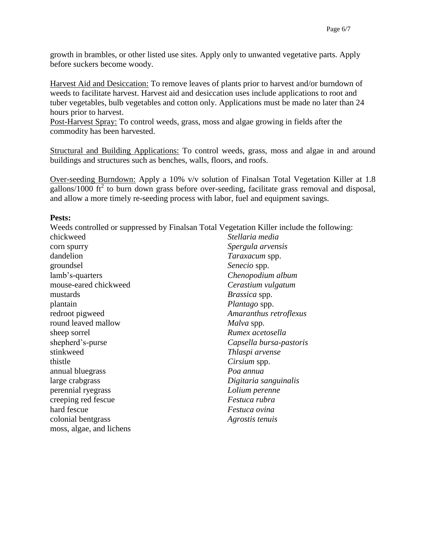growth in brambles, or other listed use sites. Apply only to unwanted vegetative parts. Apply before suckers become woody.

Harvest Aid and Desiccation: To remove leaves of plants prior to harvest and/or burndown of weeds to facilitate harvest. Harvest aid and desiccation uses include applications to root and tuber vegetables, bulb vegetables and cotton only. Applications must be made no later than 24 hours prior to harvest.

Post-Harvest Spray: To control weeds, grass, moss and algae growing in fields after the commodity has been harvested.

Structural and Building Applications: To control weeds, grass, moss and algae in and around buildings and structures such as benches, walls, floors, and roofs.

Over-seeding Burndown: Apply a 10% v/v solution of Finalsan Total Vegetation Killer at 1.8 gallons/1000  $\text{ft}^2$  to burn down grass before over-seeding, facilitate grass removal and disposal, and allow a more timely re-seeding process with labor, fuel and equipment savings.

#### **Pests:**

Weeds controlled or suppressed by Finalsan Total Vegetation Killer include the following:

| chickweed                | Stellaria media         |
|--------------------------|-------------------------|
| corn spurry              | Spergula arvensis       |
| dandelion                | <i>Taraxacum</i> spp.   |
| groundsel                | Senecio spp.            |
| lamb's-quarters          | Chenopodium album       |
| mouse-eared chickweed    | Cerastium vulgatum      |
| mustards                 | Brassica spp.           |
| plantain                 | Plantago spp.           |
| redroot pigweed          | Amaranthus retroflexus  |
| round leaved mallow      | Malva spp.              |
| sheep sorrel             | Rumex acetosella        |
| shepherd's-purse         | Capsella bursa-pastoris |
| stinkweed                | Thlaspi arvense         |
| thistle                  | Cirsium spp.            |
| annual bluegrass         | Poa annua               |
| large crabgrass          | Digitaria sanguinalis   |
| perennial ryegrass       | Lolium perenne          |
| creeping red fescue      | Festuca rubra           |
| hard fescue              | <i>Festuca ovina</i>    |
| colonial bentgrass       | Agrostis tenuis         |
| moss, algae, and lichens |                         |